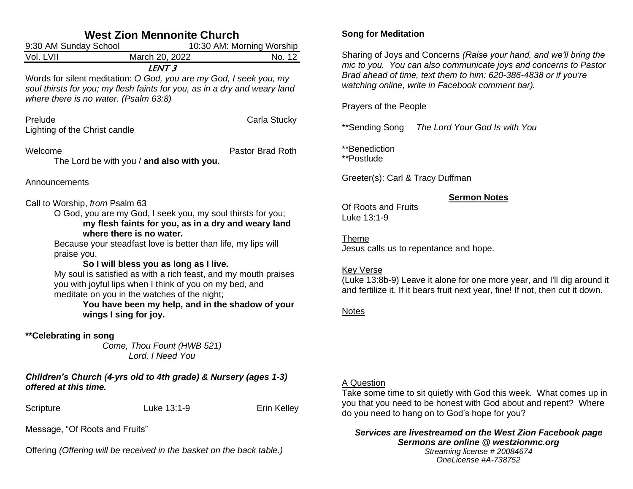| <b>West Zion Mennonite Church</b>                                                                                                                                                                                                                                                                                                                                                                                                                                                                                                                                     |                                                                                                                                                                                                               |                  |  |  |  |  |
|-----------------------------------------------------------------------------------------------------------------------------------------------------------------------------------------------------------------------------------------------------------------------------------------------------------------------------------------------------------------------------------------------------------------------------------------------------------------------------------------------------------------------------------------------------------------------|---------------------------------------------------------------------------------------------------------------------------------------------------------------------------------------------------------------|------------------|--|--|--|--|
| 9:30 AM Sunday School<br>10:30 AM: Morning Worship                                                                                                                                                                                                                                                                                                                                                                                                                                                                                                                    |                                                                                                                                                                                                               |                  |  |  |  |  |
| Vol. LVII                                                                                                                                                                                                                                                                                                                                                                                                                                                                                                                                                             | March 20, 2022                                                                                                                                                                                                | No. 12           |  |  |  |  |
|                                                                                                                                                                                                                                                                                                                                                                                                                                                                                                                                                                       | LENT <sub>3</sub><br>Words for silent meditation: O God, you are my God, I seek you, my<br>soul thirsts for you; my flesh faints for you, as in a dry and weary land<br>where there is no water. (Psalm 63:8) |                  |  |  |  |  |
| Prelude<br>Lighting of the Christ candle                                                                                                                                                                                                                                                                                                                                                                                                                                                                                                                              |                                                                                                                                                                                                               | Carla Stucky     |  |  |  |  |
| Welcome                                                                                                                                                                                                                                                                                                                                                                                                                                                                                                                                                               | The Lord be with you / and also with you.                                                                                                                                                                     | Pastor Brad Roth |  |  |  |  |
| Announcements                                                                                                                                                                                                                                                                                                                                                                                                                                                                                                                                                         |                                                                                                                                                                                                               |                  |  |  |  |  |
| Call to Worship, from Psalm 63<br>O God, you are my God, I seek you, my soul thirsts for you;<br>my flesh faints for you, as in a dry and weary land<br>where there is no water.<br>Because your steadfast love is better than life, my lips will<br>praise you.<br>So I will bless you as long as I live.<br>My soul is satisfied as with a rich feast, and my mouth praises<br>you with joyful lips when I think of you on my bed, and<br>meditate on you in the watches of the night;<br>You have been my help, and in the shadow of your<br>wings I sing for joy. |                                                                                                                                                                                                               |                  |  |  |  |  |
| **Celebrating in song                                                                                                                                                                                                                                                                                                                                                                                                                                                                                                                                                 | Come, Thou Fount (HWB 521)<br>Lord, I Need You                                                                                                                                                                |                  |  |  |  |  |
| Children's Church (4-yrs old to 4th grade) & Nursery (ages 1-3)<br>offered at this time.                                                                                                                                                                                                                                                                                                                                                                                                                                                                              |                                                                                                                                                                                                               |                  |  |  |  |  |
| Scripture                                                                                                                                                                                                                                                                                                                                                                                                                                                                                                                                                             | Luke 13:1-9                                                                                                                                                                                                   | Erin Kelley      |  |  |  |  |

Message, "Of Roots and Fruits"

Offering *(Offering will be received in the basket on the back table.)*

# **Song for Meditation**

Sharing of Joys and Concerns *(Raise your hand, and we'll bring the mic to you. You can also communicate joys and concerns to Pastor Brad ahead of time, text them to him: 620-386-4838 or if you're watching online, write in Facebook comment bar).*

## Prayers of the People

\*\*Sending Song *The Lord Your God Is with You*

\*\*Benediction

\*\*Postlude

Greeter(s): Carl & Tracy Duffman

# **Sermon Notes**

Of Roots and Fruits Luke 13:1-9

Theme Jesus calls us to repentance and hope.

# Key Verse

(Luke 13:8b-9) Leave it alone for one more year, and I'll dig around it and fertilize it. If it bears fruit next year, fine! If not, then cut it down.

# Notes

# A Question

Take some time to sit quietly with God this week. What comes up in you that you need to be honest with God about and repent? Where do you need to hang on to God's hope for you?

#### *Services are livestreamed on the West Zion Facebook page Sermons are online @ westzionmc.org Streaming license # 20084674*

*OneLicense #A-738752*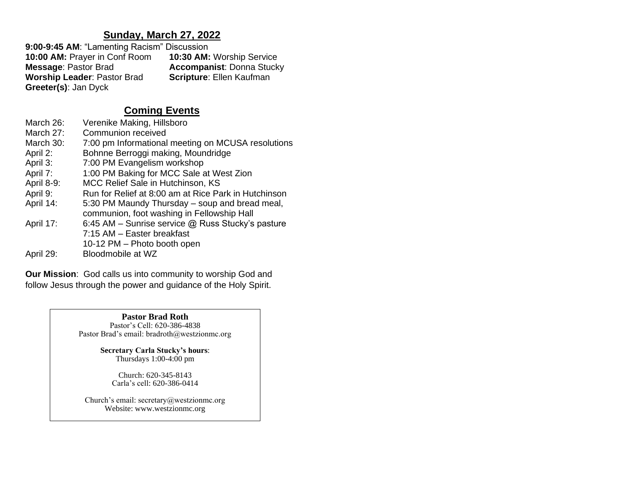# **Sunday, March 27, 2022**

**9:00-9:45 AM**: "Lamenting Racism" Discussion **10:00 AM:** Prayer in Conf Room **10:30 AM:** Worship Service **Accompanist: Donna Stucky Scripture: Ellen Kaufman Worship Leader: Pastor Brad Greeter(s)**: Jan Dyck

# **Coming Events**

| Verenike Making, Hillsboro                                                                   |
|----------------------------------------------------------------------------------------------|
| Communion received                                                                           |
| 7:00 pm Informational meeting on MCUSA resolutions                                           |
| Bohnne Berroggi making, Moundridge                                                           |
| 7:00 PM Evangelism workshop                                                                  |
| 1:00 PM Baking for MCC Sale at West Zion                                                     |
| MCC Relief Sale in Hutchinson, KS                                                            |
| Run for Relief at 8:00 am at Rice Park in Hutchinson                                         |
| 5:30 PM Maundy Thursday – soup and bread meal,<br>communion, foot washing in Fellowship Hall |
| 6:45 AM – Sunrise service $@$ Russ Stucky's pasture                                          |
| 7:15 AM - Easter breakfast                                                                   |
| 10-12 PM - Photo booth open                                                                  |
| Bloodmobile at WZ                                                                            |
|                                                                                              |

**Our Mission**: God calls us into community to worship God and follow Jesus through the power and guidance of the Holy Spirit.

> **Pastor Brad Roth** Pastor's Cell: 620-386-4838 Pastor Brad's email: bradroth@westzionmc.org

> > **Secretary Carla Stucky's hours**: Thursdays 1:00-4:00 pm

> > > Church: 620-345-8143 Carla's cell: 620-386-0414

Church's email: secretary@westzionmc.org Website: www.westzionmc.org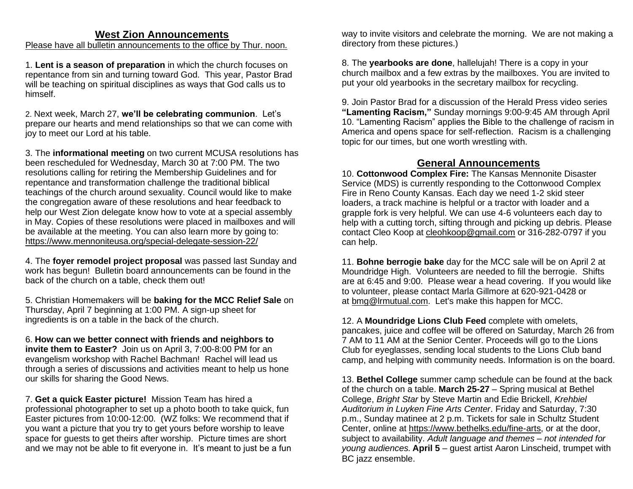### **West Zion Announcements**

Please have all bulletin announcements to the office by Thur. noon.

1. **Lent is a season of preparation** in which the church focuses on repentance from sin and turning toward God. This year, Pastor Brad will be teaching on spiritual disciplines as ways that God calls us to himself.

2. Next week, March 27, **we'll be celebrating communion**. Let's prepare our hearts and mend relationships so that we can come with joy to meet our Lord at his table.

3. The **informational meeting** on two current MCUSA resolutions has been rescheduled for Wednesday, March 30 at 7:00 PM. The two resolutions calling for retiring the Membership Guidelines and for repentance and transformation challenge the traditional biblical teachings of the church around sexuality. Council would like to make the congregation aware of these resolutions and hear feedback to help our West Zion delegate know how to vote at a special assembly in May. Copies of these resolutions were placed in mailboxes and will be available at the meeting. You can also learn more by going to: <https://www.mennoniteusa.org/special-delegate-session-22/>

4. The **foyer remodel project proposal** was passed last Sunday and work has begun! Bulletin board announcements can be found in the back of the church on a table, check them out!

5. Christian Homemakers will be **baking for the MCC Relief Sale** on Thursday, April 7 beginning at 1:00 PM. A sign-up sheet for ingredients is on a table in the back of the church.

6. **How can we better connect with friends and neighbors to invite them to Easter?** Join us on April 3, 7:00-8:00 PM for an evangelism workshop with Rachel Bachman! Rachel will lead us through a series of discussions and activities meant to help us hone our skills for sharing the Good News.

7. **Get a quick Easter picture!** Mission Team has hired a professional photographer to set up a photo booth to take quick, fun Easter pictures from 10:00-12:00. (WZ folks: We recommend that if you want a picture that you try to get yours before worship to leave space for guests to get theirs after worship. Picture times are short and we may not be able to fit everyone in. It's meant to just be a fun way to invite visitors and celebrate the morning. We are not making a directory from these pictures.)

8. The **yearbooks are done**, hallelujah! There is a copy in your church mailbox and a few extras by the mailboxes. You are invited to put your old yearbooks in the secretary mailbox for recycling.

9. Join Pastor Brad for a discussion of the Herald Press video series **"Lamenting Racism,"** Sunday mornings 9:00-9:45 AM through April 10. "Lamenting Racism" applies the Bible to the challenge of racism in America and opens space for self-reflection. Racism is a challenging topic for our times, but one worth wrestling with.

## **General Announcements**

10. **Cottonwood Complex Fire:** The Kansas Mennonite Disaster Service (MDS) is currently responding to the Cottonwood Complex Fire in Reno County Kansas. Each day we need 1-2 skid steer loaders, a track machine is helpful or a tractor with loader and a grapple fork is very helpful. We can use 4-6 volunteers each day to help with a cutting torch, sifting through and picking up debris. Please contact Cleo Koop at [cleohkoop@gmail.com](mailto:cleohkoop@gmail.com) or 316-282-0797 if you can help.

11. **Bohne berrogie bake** day for the MCC sale will be on April 2 at Moundridge High. Volunteers are needed to fill the berrogie. Shifts are at 6:45 and 9:00. Please wear a head covering. If you would like to volunteer, please contact Marla Gillmore at 620-921-0428 or at [bmg@lrmutual.com.](mailto:bmg@lrmutual.com) Let's make this happen for MCC.

12. A **Moundridge Lions Club Feed** complete with omelets, pancakes, juice and coffee will be offered on Saturday, March 26 from 7 AM to 11 AM at the Senior Center. Proceeds will go to the Lions Club for eyeglasses, sending local students to the Lions Club band camp, and helping with community needs. Information is on the board.

13. **Bethel College** summer camp schedule can be found at the back of the church on a table. **March 25-27** – Spring musical at Bethel College, *Bright Star* by Steve Martin and Edie Brickell, *Krehbiel Auditorium in Luyken Fine Arts Center*. Friday and Saturday, 7:30 p.m., Sunday matinee at 2 p.m. Tickets for sale in Schultz Student Center, online at [https://www.bethelks.edu/fine-arts,](https://www.bethelks.edu/fine-arts) or at the door, subject to availability. *Adult language and themes – not intended for young audiences.* **April 5** – guest artist Aaron Linscheid, trumpet with BC jazz ensemble.